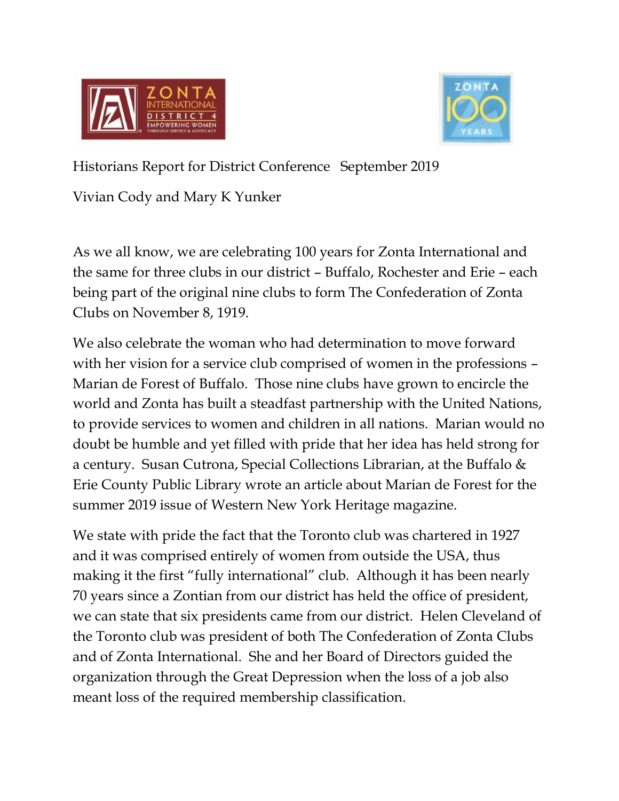



Historians Report for District Conference September 2019

Vivian Cody and Mary K Yunker

As we all know, we are celebrating 100 years for Zonta International and the same for three clubs in our district – Buffalo, Rochester and Erie – each being part of the original nine clubs to form The Confederation of Zonta Clubs on November 8, 1919.

We also celebrate the woman who had determination to move forward with her vision for a service club comprised of women in the professions – Marian de Forest of Buffalo. Those nine clubs have grown to encircle the world and Zonta has built a steadfast partnership with the United Nations, to provide services to women and children in all nations. Marian would no doubt be humble and yet filled with pride that her idea has held strong for a century. Susan Cutrona, Special Collections Librarian, at the Buffalo & Erie County Public Library wrote an article about Marian de Forest for the summer 2019 issue of Western New York Heritage magazine.

We state with pride the fact that the Toronto club was chartered in 1927 and it was comprised entirely of women from outside the USA, thus making it the first "fully international" club. Although it has been nearly 70 years since a Zontian from our district has held the office of president, we can state that six presidents came from our district. Helen Cleveland of the Toronto club was president of both The Confederation of Zonta Clubs and of Zonta International. She and her Board of Directors guided the organization through the Great Depression when the loss of a job also meant loss of the required membership classification.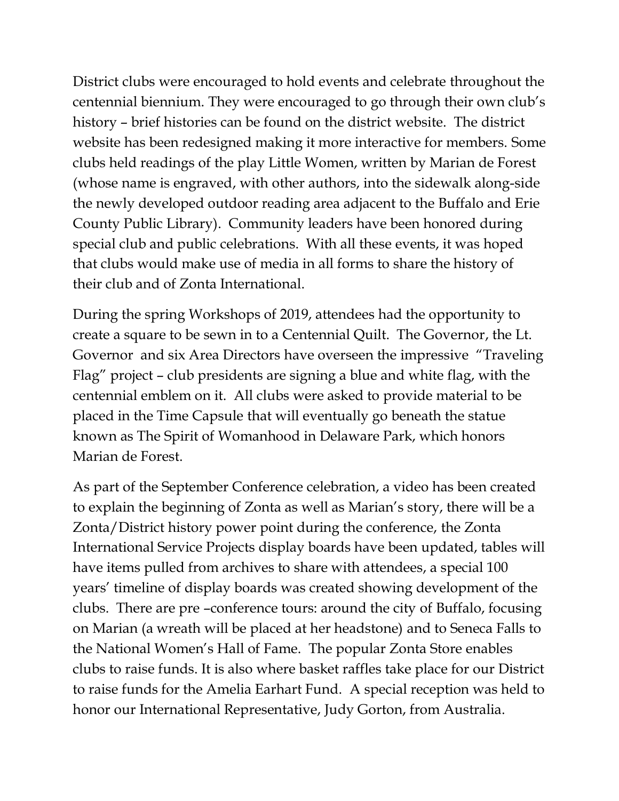District clubs were encouraged to hold events and celebrate throughout the centennial biennium. They were encouraged to go through their own club's history – brief histories can be found on the district website. The district website has been redesigned making it more interactive for members. Some clubs held readings of the play Little Women, written by Marian de Forest (whose name is engraved, with other authors, into the sidewalk along-side the newly developed outdoor reading area adjacent to the Buffalo and Erie County Public Library). Community leaders have been honored during special club and public celebrations. With all these events, it was hoped that clubs would make use of media in all forms to share the history of their club and of Zonta International.

During the spring Workshops of 2019, attendees had the opportunity to create a square to be sewn in to a Centennial Quilt. The Governor, the Lt. Governor and six Area Directors have overseen the impressive "Traveling Flag" project – club presidents are signing a blue and white flag, with the centennial emblem on it. All clubs were asked to provide material to be placed in the Time Capsule that will eventually go beneath the statue known as The Spirit of Womanhood in Delaware Park, which honors Marian de Forest.

As part of the September Conference celebration, a video has been created to explain the beginning of Zonta as well as Marian's story, there will be a Zonta/District history power point during the conference, the Zonta International Service Projects display boards have been updated, tables will have items pulled from archives to share with attendees, a special 100 years' timeline of display boards was created showing development of the clubs. There are pre –conference tours: around the city of Buffalo, focusing on Marian (a wreath will be placed at her headstone) and to Seneca Falls to the National Women's Hall of Fame. The popular Zonta Store enables clubs to raise funds. It is also where basket raffles take place for our District to raise funds for the Amelia Earhart Fund. A special reception was held to honor our International Representative, Judy Gorton, from Australia.